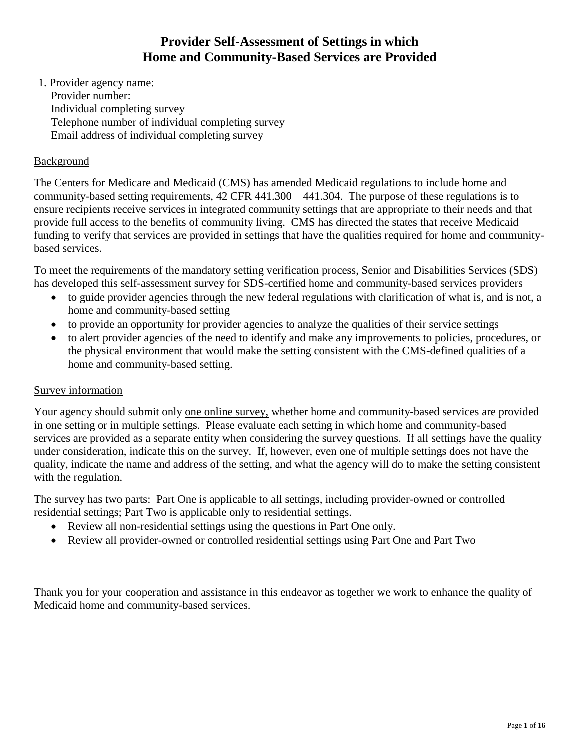# **Provider Self-Assessment of Settings in which Home and Community-Based Services are Provided**

1. Provider agency name: Provider number: Individual completing survey Telephone number of individual completing survey Email address of individual completing survey

# Background

The Centers for Medicare and Medicaid (CMS) has amended Medicaid regulations to include home and community-based setting requirements, 42 CFR 441.300 – 441.304. The purpose of these regulations is to ensure recipients receive services in integrated community settings that are appropriate to their needs and that provide full access to the benefits of community living. CMS has directed the states that receive Medicaid funding to verify that services are provided in settings that have the qualities required for home and communitybased services.

To meet the requirements of the mandatory setting verification process, Senior and Disabilities Services (SDS) has developed this self-assessment survey for SDS-certified home and community-based services providers

- to guide provider agencies through the new federal regulations with clarification of what is, and is not, a home and community-based setting
- to provide an opportunity for provider agencies to analyze the qualities of their service settings
- to alert provider agencies of the need to identify and make any improvements to policies, procedures, or the physical environment that would make the setting consistent with the CMS-defined qualities of a home and community-based setting.

# Survey information

Your agency should submit only one online survey, whether home and community-based services are provided in one setting or in multiple settings. Please evaluate each setting in which home and community-based services are provided as a separate entity when considering the survey questions. If all settings have the quality under consideration, indicate this on the survey. If, however, even one of multiple settings does not have the quality, indicate the name and address of the setting, and what the agency will do to make the setting consistent with the regulation.

The survey has two parts: Part One is applicable to all settings, including provider-owned or controlled residential settings; Part Two is applicable only to residential settings.

- Review all non-residential settings using the questions in Part One only.
- Review all provider-owned or controlled residential settings using Part One and Part Two

Thank you for your cooperation and assistance in this endeavor as together we work to enhance the quality of Medicaid home and community-based services.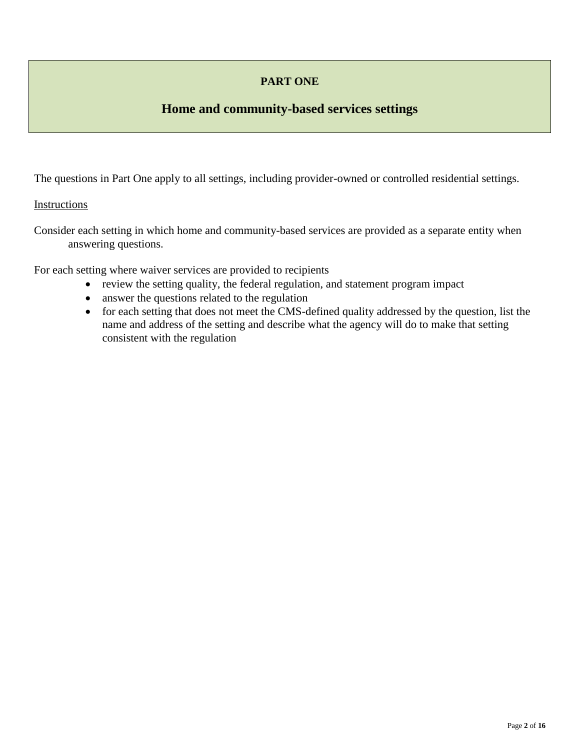# **PART ONE**

# **Home and community-based services settings**

The questions in Part One apply to all settings, including provider-owned or controlled residential settings.

### Instructions

Consider each setting in which home and community-based services are provided as a separate entity when answering questions.

For each setting where waiver services are provided to recipients

- review the setting quality, the federal regulation, and statement program impact
- answer the questions related to the regulation
- for each setting that does not meet the CMS-defined quality addressed by the question, list the name and address of the setting and describe what the agency will do to make that setting consistent with the regulation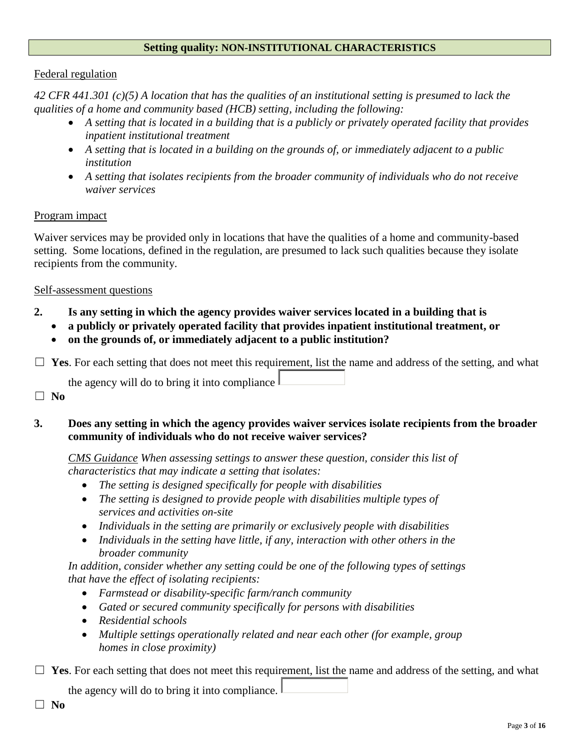## **Setting quality: NON-INSTITUTIONAL CHARACTERISTICS**

#### Federal regulation

*42 CFR 441.301 (c)(5) A location that has the qualities of an institutional setting is presumed to lack the qualities of a home and community based (HCB) setting, including the following:*

- *A setting that is located in a building that is a publicly or privately operated facility that provides inpatient institutional treatment*
- *A setting that is located in a building on the grounds of, or immediately adjacent to a public institution*
- *A setting that isolates recipients from the broader community of individuals who do not receive waiver services*

## Program impact

Waiver services may be provided only in locations that have the qualities of a home and community-based setting. Some locations, defined in the regulation, are presumed to lack such qualities because they isolate recipients from the community.

### Self-assessment questions

# **2. Is any setting in which the agency provides waiver services located in a building that is**

- **a publicly or privately operated facility that provides inpatient institutional treatment, or**
- **on the grounds of, or immediately adjacent to a public institution?**

 $\Box$  **Yes**. For each setting that does not meet this requirement, list the name and address of the setting, and what

the agency will do to bring it into compliance  $\parallel$ 

☐ **No**

# **3. Does any setting in which the agency provides waiver services isolate recipients from the broader community of individuals who do not receive waiver services?**

*CMS Guidance When assessing settings to answer these question, consider this list of characteristics that may indicate a setting that isolates:*

- *The setting is designed specifically for people with disabilities*
- *The setting is designed to provide people with disabilities multiple types of services and activities on-site*
- *Individuals in the setting are primarily or exclusively people with disabilities*
- *Individuals in the setting have little, if any, interaction with other others in the broader community*

*In addition, consider whether any setting could be one of the following types of settings that have the effect of isolating recipients:*

- *Farmstead or disability-specific farm/ranch community*
- *Gated or secured community specifically for persons with disabilities*
- *Residential schools*
- *Multiple settings operationally related and near each other (for example, group homes in close proximity)*

 $\Box$  **Yes**. For each setting that does not meet this requirement, list the name and address of the setting, and what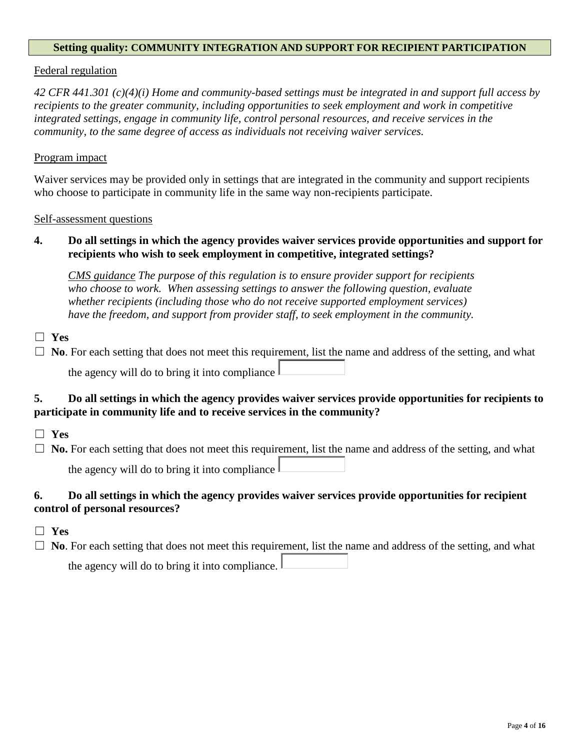#### **Setting quality: COMMUNITY INTEGRATION AND SUPPORT FOR RECIPIENT PARTICIPATION**

#### Federal regulation

*42 CFR 441.301 (c)(4)(i) Home and community-based settings must be integrated in and support full access by recipients to the greater community, including opportunities to seek employment and work in competitive integrated settings, engage in community life, control personal resources, and receive services in the community, to the same degree of access as individuals not receiving waiver services.* 

#### Program impact

Waiver services may be provided only in settings that are integrated in the community and support recipients who choose to participate in community life in the same way non-recipients participate.

#### Self-assessment questions

# **4. Do all settings in which the agency provides waiver services provide opportunities and support for recipients who wish to seek employment in competitive, integrated settings?**

*CMS guidance The purpose of this regulation is to ensure provider support for recipients who choose to work. When assessing settings to answer the following question, evaluate whether recipients (including those who do not receive supported employment services) have the freedom, and support from provider staff, to seek employment in the community.*

☐ **Yes**

 $\Box$  **No**. For each setting that does not meet this requirement, list the name and address of the setting, and what

the agency will do to bring it into compliance

## **5. Do all settings in which the agency provides waiver services provide opportunities for recipients to participate in community life and to receive services in the community?**

- ☐ **Yes**
- $\Box$  **No.** For each setting that does not meet this requirement, list the name and address of the setting, and what

the agency will do to bring it into compliance

## **6. Do all settings in which the agency provides waiver services provide opportunities for recipient control of personal resources?**

- ☐ **Yes**
- $\Box$  **No**. For each setting that does not meet this requirement, list the name and address of the setting, and what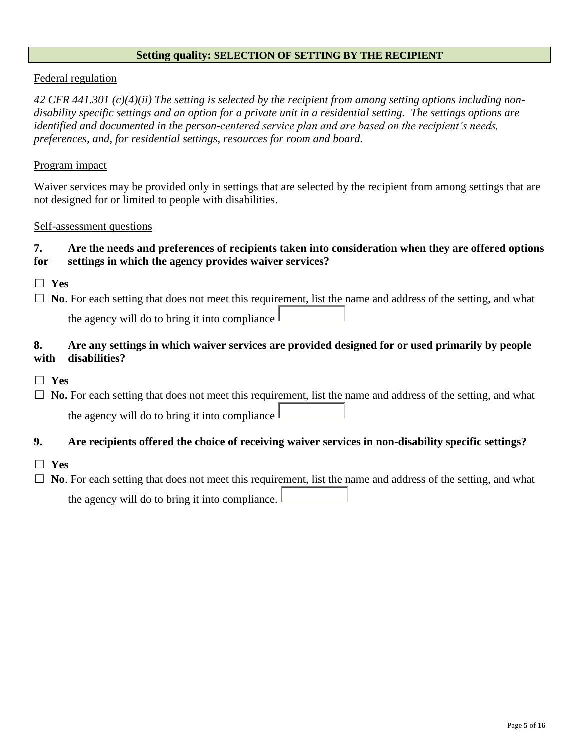### **Setting quality: SELECTION OF SETTING BY THE RECIPIENT**

## Federal regulation

*42 CFR 441.301 (c)(4)(ii) The setting is selected by the recipient from among setting options including nondisability specific settings and an option for a private unit in a residential setting. The settings options are identified and documented in the person-centered service plan and are based on the recipient's needs, preferences, and, for residential settings, resources for room and board.*

### Program impact

Waiver services may be provided only in settings that are selected by the recipient from among settings that are not designed for or limited to people with disabilities.

#### Self-assessment questions

## **7. Are the needs and preferences of recipients taken into consideration when they are offered options for settings in which the agency provides waiver services?**

☐ **Yes**

 $\Box$  **No**. For each setting that does not meet this requirement, list the name and address of the setting, and what the agency will do to bring it into compliance

# **8. Are any settings in which waiver services are provided designed for or used primarily by people with disabilities?**

☐ **Yes**

 $\Box$  No. For each setting that does not meet this requirement, list the name and address of the setting, and what the agency will do to bring it into compliance

## **9. Are recipients offered the choice of receiving waiver services in non-disability specific settings?**

- ☐ **Yes**
- □ **No**. For each setting that does not meet this requirement, list the name and address of the setting, and what the agency will do to bring it into compliance.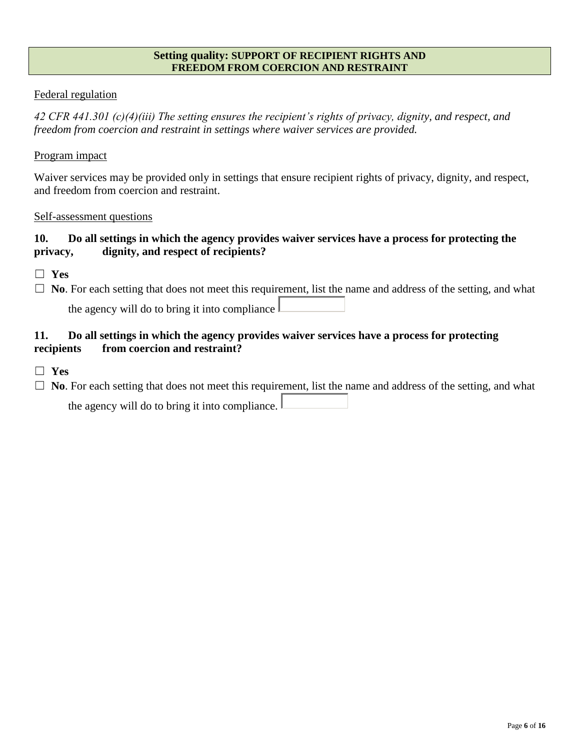## **Setting quality: SUPPORT OF RECIPIENT RIGHTS AND FREEDOM FROM COERCION AND RESTRAINT**

# Federal regulation

*42 CFR 441.301 (c)(4)(iii) The setting ensures the recipient's rights of privacy, dignity, and respect, and freedom from coercion and restraint in settings where waiver services are provided.*

## Program impact

Waiver services may be provided only in settings that ensure recipient rights of privacy, dignity, and respect, and freedom from coercion and restraint.

## Self-assessment questions

# **10. Do all settings in which the agency provides waiver services have a process for protecting the privacy, dignity, and respect of recipients?**

- ☐ **Yes**
- $\Box$  **No**. For each setting that does not meet this requirement, list the name and address of the setting, and what

the agency will do to bring it into compliance  $\parallel$ 

# **11. Do all settings in which the agency provides waiver services have a process for protecting recipients from coercion and restraint?**

☐ **Yes**

☐ **No**. For each setting that does not meet this requirement, list the name and address of the setting, and what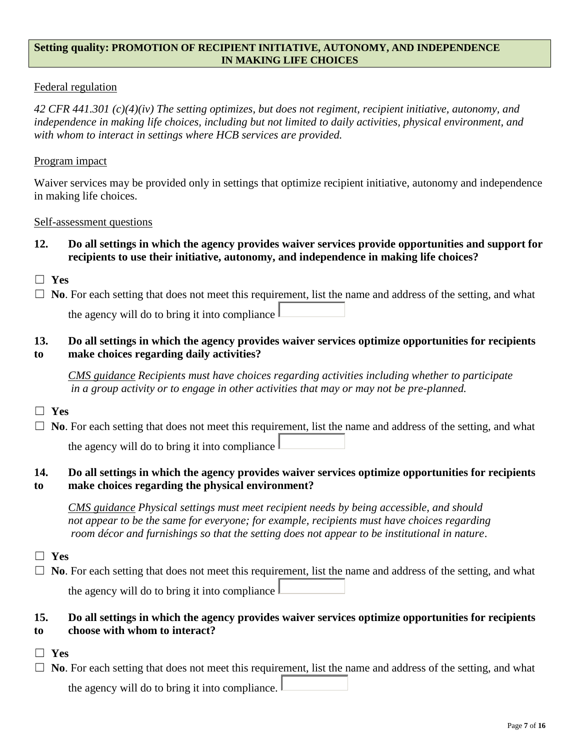## **Setting quality: PROMOTION OF RECIPIENT INITIATIVE, AUTONOMY, AND INDEPENDENCE IN MAKING LIFE CHOICES**

# Federal regulation

*42 CFR 441.301 (c)(4)(iv) The setting optimizes, but does not regiment, recipient initiative, autonomy, and independence in making life choices, including but not limited to daily activities, physical environment, and with whom to interact in settings where HCB services are provided.*

### Program impact

Waiver services may be provided only in settings that optimize recipient initiative, autonomy and independence in making life choices.

#### Self-assessment questions

- **12. Do all settings in which the agency provides waiver services provide opportunities and support for recipients to use their initiative, autonomy, and independence in making life choices?**
- ☐ **Yes**

□ **No**. For each setting that does not meet this requirement, list the name and address of the setting, and what

the agency will do to bring it into compliance

## **13. Do all settings in which the agency provides waiver services optimize opportunities for recipients to make choices regarding daily activities?**

*CMS guidance Recipients must have choices regarding activities including whether to participate in a group activity or to engage in other activities that may or may not be pre-planned.*

- ☐ **Yes**
- $\Box$  **No**. For each setting that does not meet this requirement, list the name and address of the setting, and what the agency will do to bring it into compliance

#### **14. Do all settings in which the agency provides waiver services optimize opportunities for recipients to make choices regarding the physical environment?**

*CMS guidance Physical settings must meet recipient needs by being accessible, and should not appear to be the same for everyone; for example, recipients must have choices regarding room décor and furnishings so that the setting does not appear to be institutional in nature*.

☐ **Yes**

 $\Box$  **No**. For each setting that does not meet this requirement, list the name and address of the setting, and what the agency will do to bring it into compliance  $\parallel$ 

# **15. Do all settings in which the agency provides waiver services optimize opportunities for recipients to choose with whom to interact?**

- ☐ **Yes**
- □ **No**. For each setting that does not meet this requirement, list the name and address of the setting, and what the agency will do to bring it into compliance.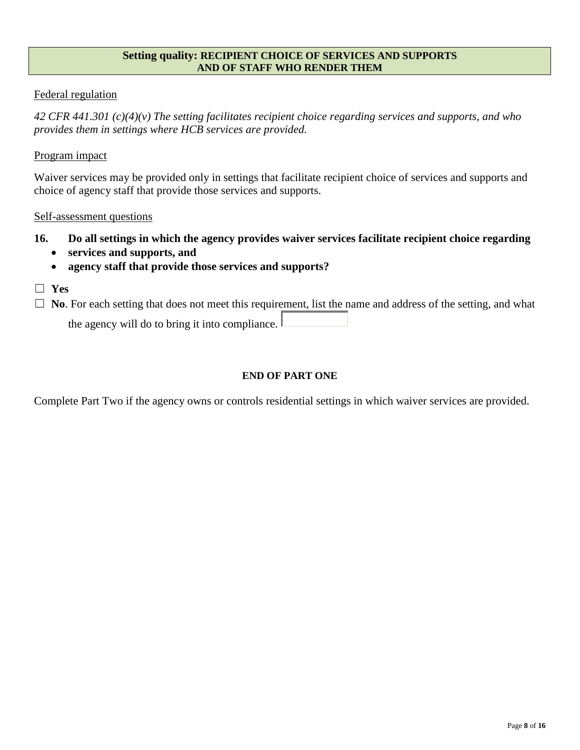#### **Setting quality: RECIPIENT CHOICE OF SERVICES AND SUPPORTS AND OF STAFF WHO RENDER THEM**

## Federal regulation

*42 CFR 441.301 (c)(4)(v) The setting facilitates recipient choice regarding services and supports, and who provides them in settings where HCB services are provided.*

## Program impact

Waiver services may be provided only in settings that facilitate recipient choice of services and supports and choice of agency staff that provide those services and supports.

### Self-assessment questions

- **16. Do all settings in which the agency provides waiver services facilitate recipient choice regarding** 
	- **services and supports, and**
	- **agency staff that provide those services and supports?**
- ☐ **Yes**

 $\Box$  **No**. For each setting that does not meet this requirement, list the name and address of the setting, and what

the agency will do to bring it into compliance.

## **END OF PART ONE**

Complete Part Two if the agency owns or controls residential settings in which waiver services are provided.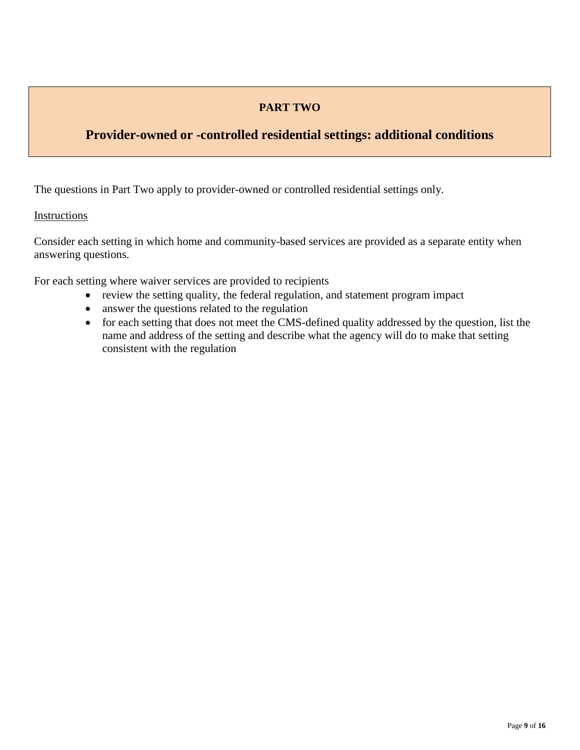# **PART TWO**

# **Provider-owned or -controlled residential settings: additional conditions**

The questions in Part Two apply to provider-owned or controlled residential settings only.

# Instructions

Consider each setting in which home and community-based services are provided as a separate entity when answering questions.

For each setting where waiver services are provided to recipients

- review the setting quality, the federal regulation, and statement program impact
- answer the questions related to the regulation
- for each setting that does not meet the CMS-defined quality addressed by the question, list the name and address of the setting and describe what the agency will do to make that setting consistent with the regulation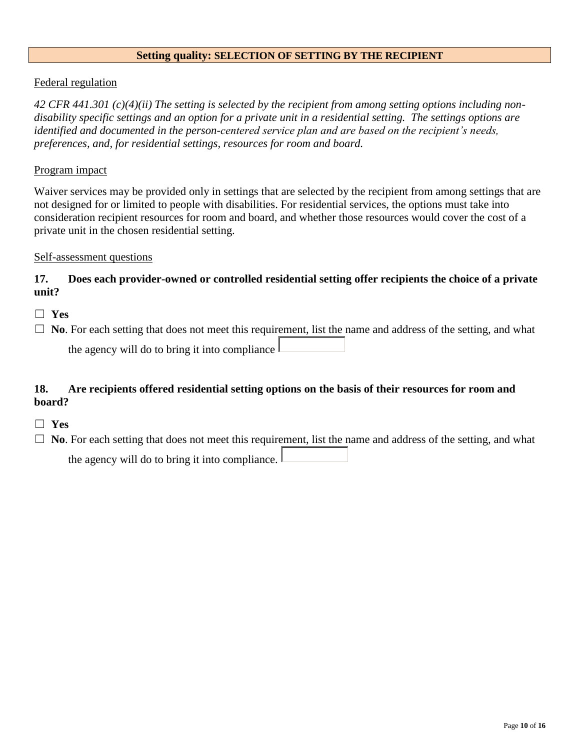#### **Setting quality: SELECTION OF SETTING BY THE RECIPIENT**

## Federal regulation

*42 CFR 441.301 (c)(4)(ii) The setting is selected by the recipient from among setting options including nondisability specific settings and an option for a private unit in a residential setting. The settings options are identified and documented in the person-centered service plan and are based on the recipient's needs, preferences, and, for residential settings, resources for room and board.*

### Program impact

Waiver services may be provided only in settings that are selected by the recipient from among settings that are not designed for or limited to people with disabilities. For residential services, the options must take into consideration recipient resources for room and board, and whether those resources would cover the cost of a private unit in the chosen residential setting.

## Self-assessment questions

# **17. Does each provider-owned or controlled residential setting offer recipients the choice of a private unit?**

- ☐ **Yes**
- □ **No**. For each setting that does not meet this requirement, list the name and address of the setting, and what the agency will do to bring it into compliance

# **18. Are recipients offered residential setting options on the basis of their resources for room and board?**

- ☐ **Yes**
- □ **No**. For each setting that does not meet this requirement, list the name and address of the setting, and what the agency will do to bring it into compliance.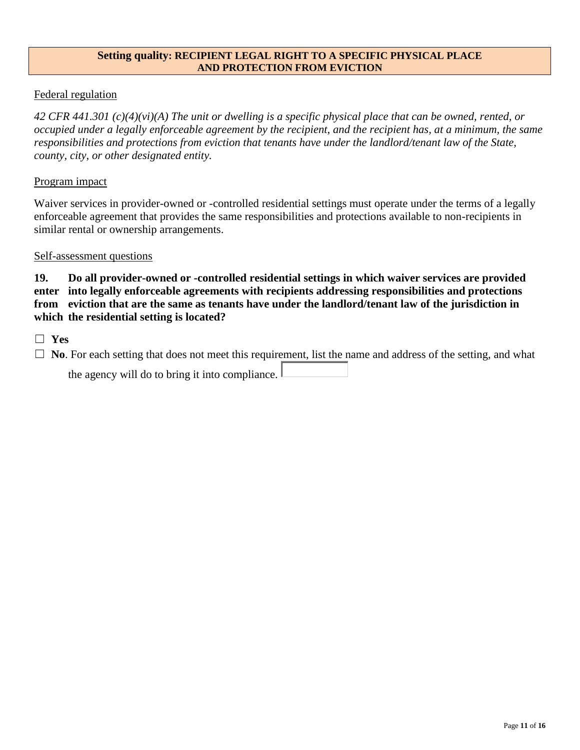### **Setting quality: RECIPIENT LEGAL RIGHT TO A SPECIFIC PHYSICAL PLACE AND PROTECTION FROM EVICTION**

# Federal regulation

*42 CFR 441.301 (c)(4)(vi)(A) The unit or dwelling is a specific physical place that can be owned, rented, or occupied under a legally enforceable agreement by the recipient, and the recipient has, at a minimum, the same responsibilities and protections from eviction that tenants have under the landlord/tenant law of the State, county, city, or other designated entity.*

## Program impact

Waiver services in provider-owned or -controlled residential settings must operate under the terms of a legally enforceable agreement that provides the same responsibilities and protections available to non-recipients in similar rental or ownership arrangements.

### Self-assessment questions

**19. Do all provider-owned or -controlled residential settings in which waiver services are provided enter into legally enforceable agreements with recipients addressing responsibilities and protections from eviction that are the same as tenants have under the landlord/tenant law of the jurisdiction in which the residential setting is located?**

☐ **Yes**

□ **No**. For each setting that does not meet this requirement, list the name and address of the setting, and what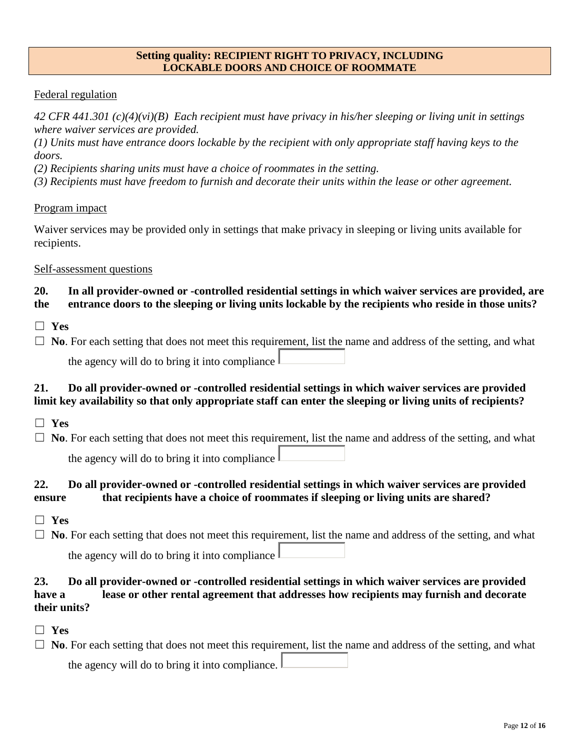#### **Setting quality: RECIPIENT RIGHT TO PRIVACY, INCLUDING LOCKABLE DOORS AND CHOICE OF ROOMMATE**

## Federal regulation

*42 CFR 441.301 (c)(4)(vi)(B) Each recipient must have privacy in his/her sleeping or living unit in settings where waiver services are provided.*

*(1) Units must have entrance doors lockable by the recipient with only appropriate staff having keys to the doors.*

*(2) Recipients sharing units must have a choice of roommates in the setting.*

*(3) Recipients must have freedom to furnish and decorate their units within the lease or other agreement.*

### Program impact

Waiver services may be provided only in settings that make privacy in sleeping or living units available for recipients.

### Self-assessment questions

# **20. In all provider-owned or -controlled residential settings in which waiver services are provided, are the entrance doors to the sleeping or living units lockable by the recipients who reside in those units?**

- ☐ **Yes**
- $\Box$  **No**. For each setting that does not meet this requirement, list the name and address of the setting, and what

the agency will do to bring it into compliance  $\parallel$ 

# **21. Do all provider-owned or -controlled residential settings in which waiver services are provided limit key availability so that only appropriate staff can enter the sleeping or living units of recipients?**

- ☐ **Yes**
- $\Box$  **No**. For each setting that does not meet this requirement, list the name and address of the setting, and what

the agency will do to bring it into compliance

# **22. Do all provider-owned or -controlled residential settings in which waiver services are provided ensure that recipients have a choice of roommates if sleeping or living units are shared?**

- ☐ **Yes**
- $\Box$  **No**. For each setting that does not meet this requirement, list the name and address of the setting, and what the agency will do to bring it into compliance

# **23. Do all provider-owned or -controlled residential settings in which waiver services are provided have a lease or other rental agreement that addresses how recipients may furnish and decorate their units?**

- ☐ **Yes**
- $\Box$  **No**. For each setting that does not meet this requirement, list the name and address of the setting, and what the agency will do to bring it into compliance.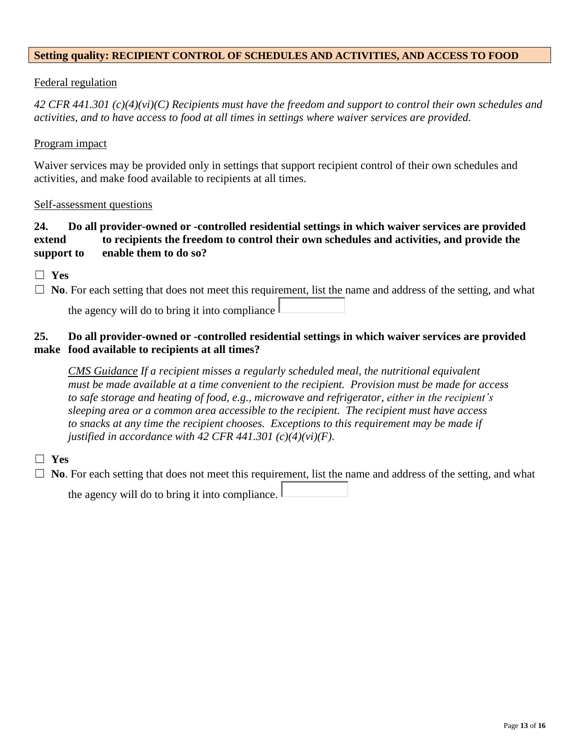### **Setting quality: RECIPIENT CONTROL OF SCHEDULES AND ACTIVITIES, AND ACCESS TO FOOD**

## Federal regulation

*42 CFR 441.301 (c)(4)(vi)(C) Recipients must have the freedom and support to control their own schedules and activities, and to have access to food at all times in settings where waiver services are provided.*

#### Program impact

Waiver services may be provided only in settings that support recipient control of their own schedules and activities, and make food available to recipients at all times.

#### Self-assessment questions

# **24. Do all provider-owned or -controlled residential settings in which waiver services are provided extend to recipients the freedom to control their own schedules and activities, and provide the support to enable them to do so?**

☐ **Yes**

☐ **No**. For each setting that does not meet this requirement, list the name and address of the setting, and what the agency will do to bring it into compliance

# **25. Do all provider-owned or -controlled residential settings in which waiver services are provided make food available to recipients at all times?**

*CMS Guidance If a recipient misses a regularly scheduled meal, the nutritional equivalent must be made available at a time convenient to the recipient. Provision must be made for access to safe storage and heating of food, e.g., microwave and refrigerator, either in the recipient's sleeping area or a common area accessible to the recipient. The recipient must have access to snacks at any time the recipient chooses. Exceptions to this requirement may be made if justified in accordance with 42 CFR 441.301 (c)(4)(vi)(F).*

## ☐ **Yes**

□ **No**. For each setting that does not meet this requirement, list the name and address of the setting, and what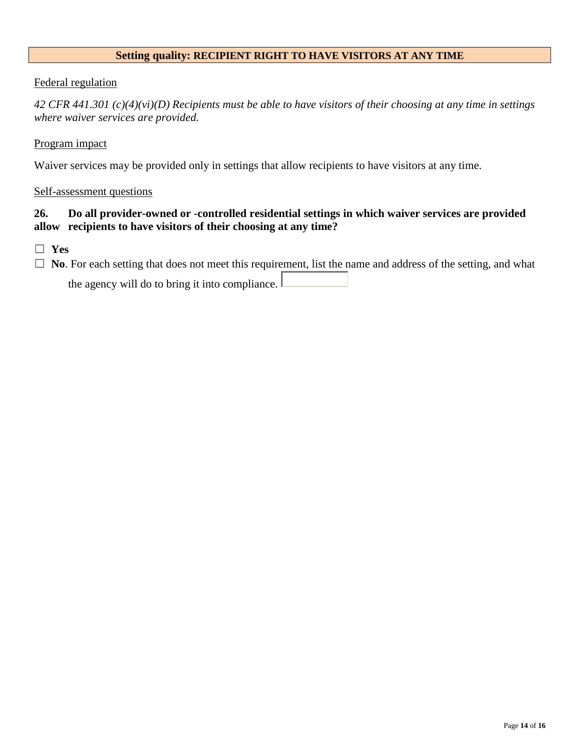## **Setting quality: RECIPIENT RIGHT TO HAVE VISITORS AT ANY TIME**

### Federal regulation

*42 CFR 441.301 (c)(4)(vi)(D) Recipients must be able to have visitors of their choosing at any time in settings where waiver services are provided.*

#### Program impact

Waiver services may be provided only in settings that allow recipients to have visitors at any time.

#### Self-assessment questions

## **26. Do all provider-owned or -controlled residential settings in which waiver services are provided allow recipients to have visitors of their choosing at any time?**

☐ **Yes**

□ **No**. For each setting that does not meet this requirement, list the name and address of the setting, and what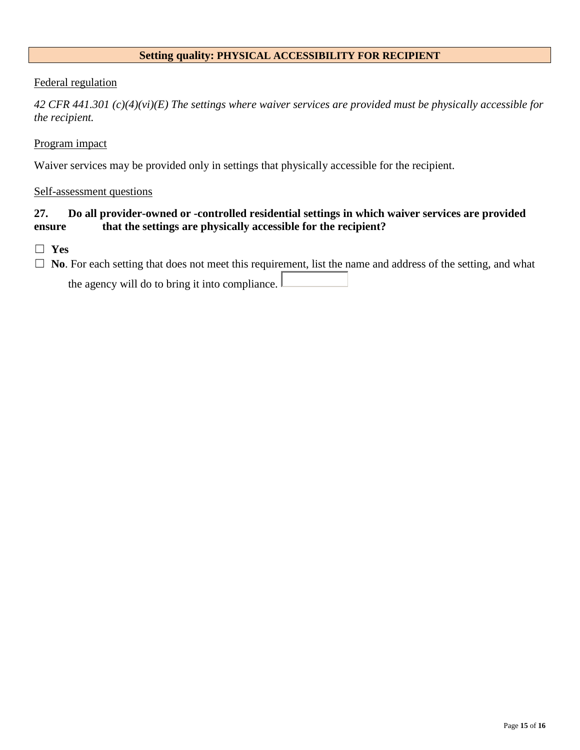## **Setting quality: PHYSICAL ACCESSIBILITY FOR RECIPIENT**

#### Federal regulation

*42 CFR 441.301 (c)(4)(vi)(E) The settings where waiver services are provided must be physically accessible for the recipient.*

#### Program impact

Waiver services may be provided only in settings that physically accessible for the recipient.

#### Self-assessment questions

## **27. Do all provider-owned or -controlled residential settings in which waiver services are provided ensure that the settings are physically accessible for the recipient?**

☐ **Yes**

□ **No**. For each setting that does not meet this requirement, list the name and address of the setting, and what